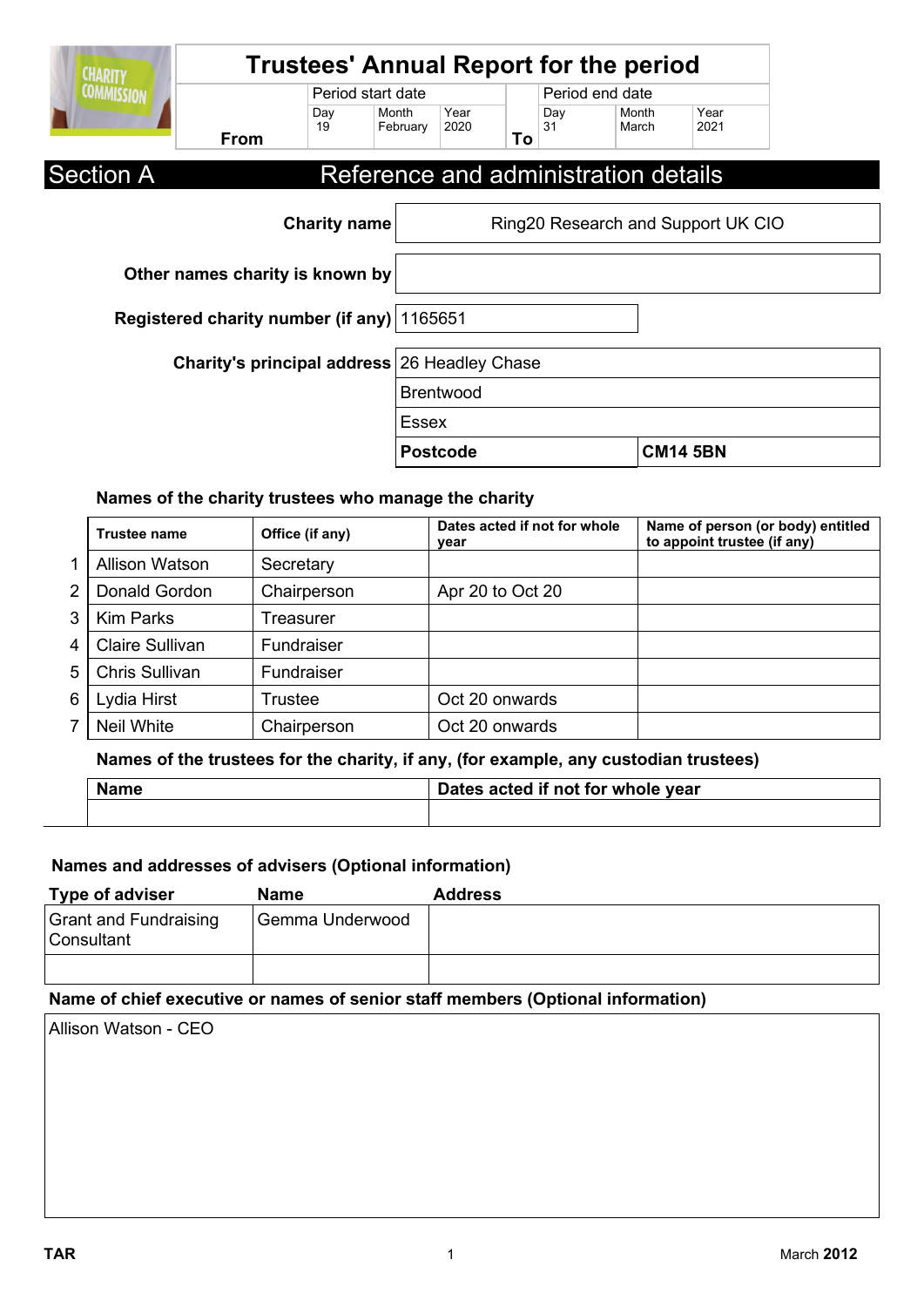| <b>CHARITY</b>                               |             |                   |                   |                  |    |                 | <b>Trustees' Annual Report for the period</b> |                                    |  |
|----------------------------------------------|-------------|-------------------|-------------------|------------------|----|-----------------|-----------------------------------------------|------------------------------------|--|
| <b>COMMISSION</b>                            |             | Period start date |                   |                  |    | Period end date |                                               |                                    |  |
|                                              | <b>From</b> | Day<br>19         | Month<br>February | Year<br>2020     | To | Day<br>31       | Month<br>March                                | Year<br>2021                       |  |
| <b>Section A</b>                             |             |                   |                   |                  |    |                 | Reference and administration details          |                                    |  |
| <b>Charity name</b>                          |             |                   |                   |                  |    |                 |                                               | Ring20 Research and Support UK CIO |  |
| Other names charity is known by              |             |                   |                   |                  |    |                 |                                               |                                    |  |
| Registered charity number (if any) 1165651   |             |                   |                   |                  |    |                 |                                               |                                    |  |
| Charity's principal address 26 Headley Chase |             |                   |                   |                  |    |                 |                                               |                                    |  |
|                                              |             |                   |                   | <b>Brentwood</b> |    |                 |                                               |                                    |  |
|                                              |             |                   |                   | <b>Essex</b>     |    |                 |                                               |                                    |  |
|                                              |             |                   |                   | <b>Postcode</b>  |    |                 |                                               | <b>CM14 5BN</b>                    |  |

### **Names of the charity trustees who manage the charity**

|                | <b>Trustee name</b>   | Office (if any) | Dates acted if not for whole<br>year | Name of person (or body) entitled<br>to appoint trustee (if any) |
|----------------|-----------------------|-----------------|--------------------------------------|------------------------------------------------------------------|
|                | <b>Allison Watson</b> | Secretary       |                                      |                                                                  |
| $\overline{2}$ | Donald Gordon         | Chairperson     | Apr 20 to Oct 20                     |                                                                  |
| 3              | <b>Kim Parks</b>      | Treasurer       |                                      |                                                                  |
| 4 <sup>1</sup> | Claire Sullivan       | Fundraiser      |                                      |                                                                  |
| 5 <sup>1</sup> | <b>Chris Sullivan</b> | Fundraiser      |                                      |                                                                  |
| 6              | Lydia Hirst           | Trustee         | Oct 20 onwards                       |                                                                  |
| 7              | Neil White            | Chairperson     | Oct 20 onwards                       |                                                                  |

# **Names of the trustees for the charity, if any, (for example, any custodian trustees)**

| lame |  | Dates acted if not for whole year |  |  |
|------|--|-----------------------------------|--|--|
|      |  |                                   |  |  |

# **Names and addresses of advisers (Optional information)**

| Type of adviser                            | Name            | <b>Address</b> |
|--------------------------------------------|-----------------|----------------|
| <b>Grant and Fundraising</b><br>Consultant | Gemma Underwood |                |
|                                            |                 |                |

## **Name of chief executive or names of senior staff members (Optional information)**

Allison Watson - CEO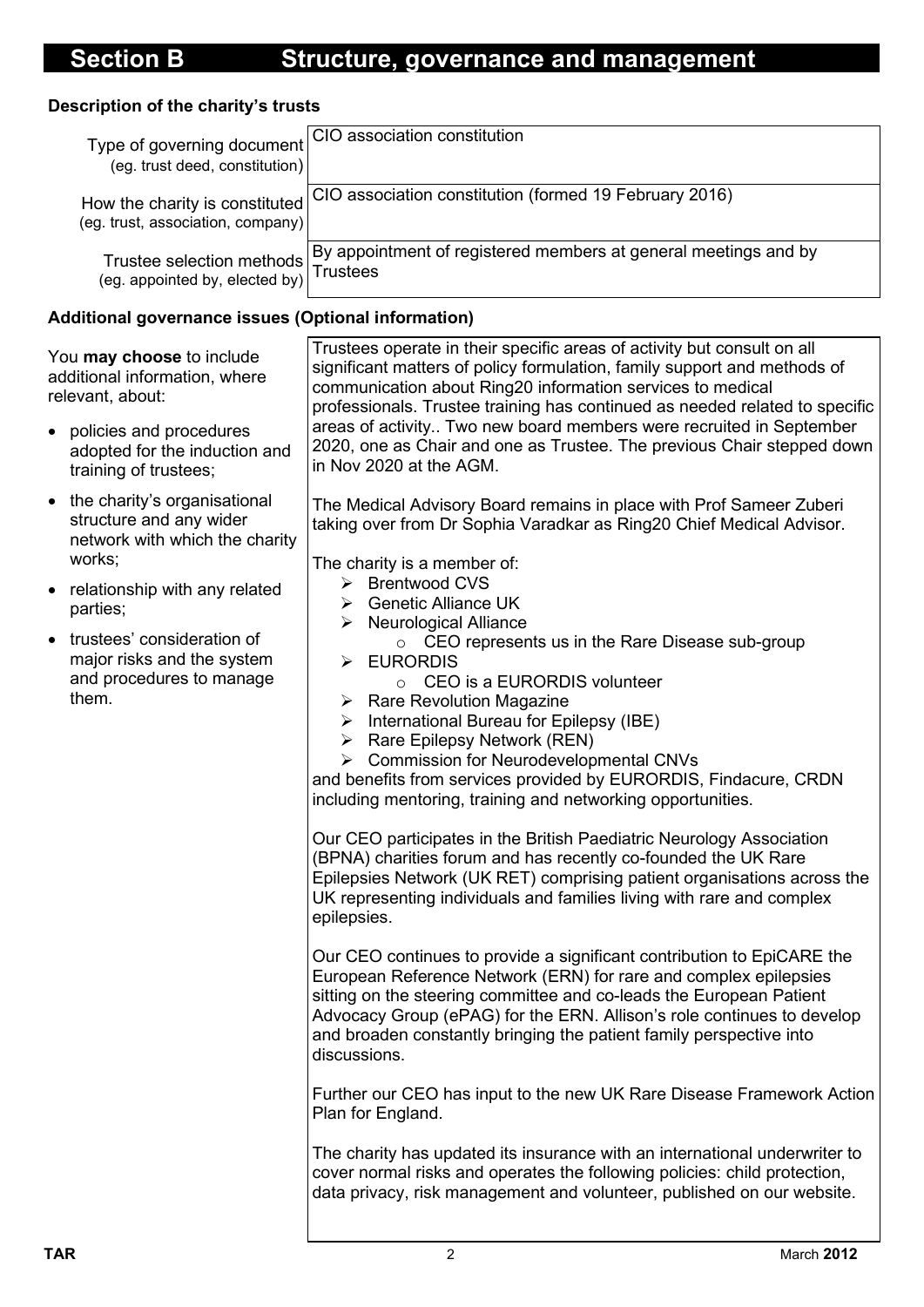## **Description of the charity's trusts**

| Type of governing document<br>(eg. trust deed, constitution)               | CIO association constitution                                    |
|----------------------------------------------------------------------------|-----------------------------------------------------------------|
| How the charity is constituted<br>$($ eg. trust, association, company $) $ | CIO association constitution (formed 19 February 2016)          |
| (eg. appointed by, elected by)                                             | By appointment of registered members at general meetings and by |

## **Additional governance issues (Optional information)**

| You may choose to include<br>additional information, where<br>relevant, about:<br>policies and procedures<br>$\bullet$<br>adopted for the induction and                                                                                                                                              | Trustees operate in their specific areas of activity but consult on all<br>significant matters of policy formulation, family support and methods of<br>communication about Ring20 information services to medical<br>professionals. Trustee training has continued as needed related to specific<br>areas of activity Two new board members were recruited in September<br>2020, one as Chair and one as Trustee. The previous Chair stepped down                                                                                                                                                                                                                                                                                                                                                                                                                                                                                                                                                                                                                                                                                                                |
|------------------------------------------------------------------------------------------------------------------------------------------------------------------------------------------------------------------------------------------------------------------------------------------------------|------------------------------------------------------------------------------------------------------------------------------------------------------------------------------------------------------------------------------------------------------------------------------------------------------------------------------------------------------------------------------------------------------------------------------------------------------------------------------------------------------------------------------------------------------------------------------------------------------------------------------------------------------------------------------------------------------------------------------------------------------------------------------------------------------------------------------------------------------------------------------------------------------------------------------------------------------------------------------------------------------------------------------------------------------------------------------------------------------------------------------------------------------------------|
| training of trustees;<br>the charity's organisational<br>$\bullet$<br>structure and any wider<br>network with which the charity<br>works;<br>relationship with any related<br>parties;<br>trustees' consideration of<br>$\bullet$<br>major risks and the system<br>and procedures to manage<br>them. | in Nov 2020 at the AGM.<br>The Medical Advisory Board remains in place with Prof Sameer Zuberi<br>taking over from Dr Sophia Varadkar as Ring20 Chief Medical Advisor.<br>The charity is a member of:<br>> Brentwood CVS<br>$\triangleright$ Genetic Alliance UK<br>$\triangleright$ Neurological Alliance<br>○ CEO represents us in the Rare Disease sub-group<br>> EURORDIS<br>CEO is a EURORDIS volunteer<br>$\circ$<br>$\triangleright$ Rare Revolution Magazine<br>$\triangleright$ International Bureau for Epilepsy (IBE)<br>$\triangleright$ Rare Epilepsy Network (REN)<br><b>Commission for Neurodevelopmental CNVs</b><br>➤<br>and benefits from services provided by EURORDIS, Findacure, CRDN<br>including mentoring, training and networking opportunities.<br>Our CEO participates in the British Paediatric Neurology Association<br>(BPNA) charities forum and has recently co-founded the UK Rare<br>Epilepsies Network (UK RET) comprising patient organisations across the<br>UK representing individuals and families living with rare and complex<br>epilepsies.<br>Our CEO continues to provide a significant contribution to EpiCARE the |
|                                                                                                                                                                                                                                                                                                      | European Reference Network (ERN) for rare and complex epilepsies<br>sitting on the steering committee and co-leads the European Patient<br>Advocacy Group (ePAG) for the ERN. Allison's role continues to develop<br>and broaden constantly bringing the patient family perspective into<br>discussions.<br>Further our CEO has input to the new UK Rare Disease Framework Action<br>Plan for England.<br>The charity has updated its insurance with an international underwriter to<br>cover normal risks and operates the following policies: child protection,<br>data privacy, risk management and volunteer, published on our website.                                                                                                                                                                                                                                                                                                                                                                                                                                                                                                                      |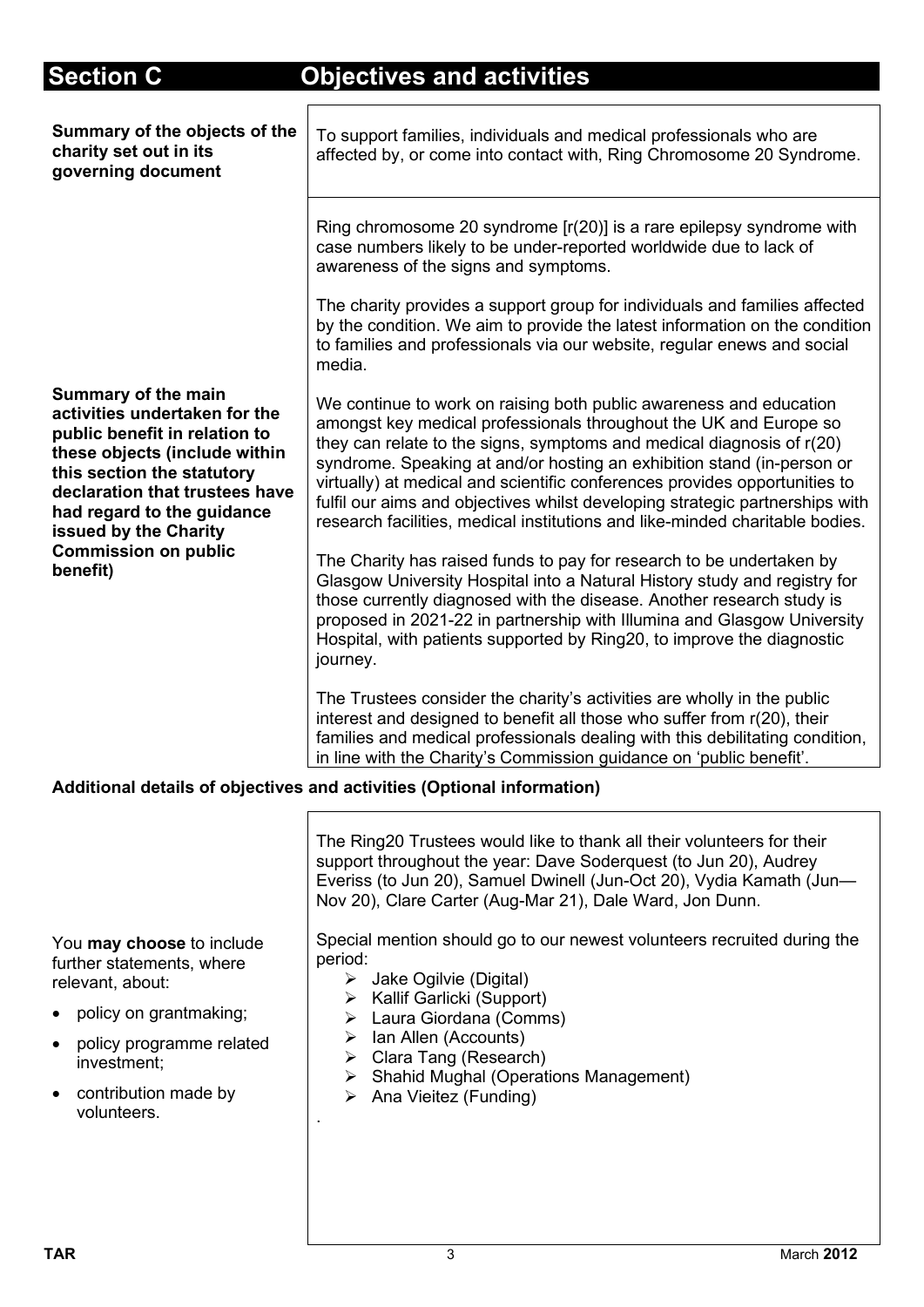# **Section C Objectives and activities**

| Summary of the objects of the<br>charity set out in its<br>governing document                                                                                                                                                                                                                   | To support families, individuals and medical professionals who are<br>affected by, or come into contact with, Ring Chromosome 20 Syndrome.                                                                                                                                                                                                                                                                                                                                                                                                                                                                                                                                                                                                                                                                                                                                                                                              |
|-------------------------------------------------------------------------------------------------------------------------------------------------------------------------------------------------------------------------------------------------------------------------------------------------|-----------------------------------------------------------------------------------------------------------------------------------------------------------------------------------------------------------------------------------------------------------------------------------------------------------------------------------------------------------------------------------------------------------------------------------------------------------------------------------------------------------------------------------------------------------------------------------------------------------------------------------------------------------------------------------------------------------------------------------------------------------------------------------------------------------------------------------------------------------------------------------------------------------------------------------------|
|                                                                                                                                                                                                                                                                                                 | Ring chromosome 20 syndrome $[r(20)]$ is a rare epilepsy syndrome with<br>case numbers likely to be under-reported worldwide due to lack of<br>awareness of the signs and symptoms.                                                                                                                                                                                                                                                                                                                                                                                                                                                                                                                                                                                                                                                                                                                                                     |
|                                                                                                                                                                                                                                                                                                 | The charity provides a support group for individuals and families affected<br>by the condition. We aim to provide the latest information on the condition<br>to families and professionals via our website, regular enews and social<br>media.                                                                                                                                                                                                                                                                                                                                                                                                                                                                                                                                                                                                                                                                                          |
| <b>Summary of the main</b><br>activities undertaken for the<br>public benefit in relation to<br>these objects (include within<br>this section the statutory<br>declaration that trustees have<br>had regard to the guidance<br>issued by the Charity<br><b>Commission on public</b><br>benefit) | We continue to work on raising both public awareness and education<br>amongst key medical professionals throughout the UK and Europe so<br>they can relate to the signs, symptoms and medical diagnosis of r(20)<br>syndrome. Speaking at and/or hosting an exhibition stand (in-person or<br>virtually) at medical and scientific conferences provides opportunities to<br>fulfil our aims and objectives whilst developing strategic partnerships with<br>research facilities, medical institutions and like-minded charitable bodies.<br>The Charity has raised funds to pay for research to be undertaken by<br>Glasgow University Hospital into a Natural History study and registry for<br>those currently diagnosed with the disease. Another research study is<br>proposed in 2021-22 in partnership with Illumina and Glasgow University<br>Hospital, with patients supported by Ring20, to improve the diagnostic<br>journey. |
|                                                                                                                                                                                                                                                                                                 | The Trustees consider the charity's activities are wholly in the public<br>interest and designed to benefit all those who suffer from r(20), their<br>families and medical professionals dealing with this debilitating condition,<br>in line with the Charity's Commission guidance on 'public benefit'.                                                                                                                                                                                                                                                                                                                                                                                                                                                                                                                                                                                                                               |
|                                                                                                                                                                                                                                                                                                 | Additional details of objectives and activities (Optional information)                                                                                                                                                                                                                                                                                                                                                                                                                                                                                                                                                                                                                                                                                                                                                                                                                                                                  |
|                                                                                                                                                                                                                                                                                                 |                                                                                                                                                                                                                                                                                                                                                                                                                                                                                                                                                                                                                                                                                                                                                                                                                                                                                                                                         |

The Ring20 Trustees would like to thank all their volunteers for their support throughout the year: Dave Soderquest (to Jun 20), Audrey Everiss (to Jun 20), Samuel Dwinell (Jun-Oct 20), Vydia Kamath (Jun— Nov 20), Clare Carter (Aug-Mar 21), Dale Ward, Jon Dunn. Special mention should go to our newest volunteers recruited during the period:

- > Jake Ogilvie (Digital)
	- $\triangleright$  Kallif Garlicki (Support)
	- Laura Giordana (Comms)
- $\triangleright$  Ian Allen (Accounts)
- Clara Tang (Research)
- Shahid Mughal (Operations Management)
- $\triangleright$  Ana Vieitez (Funding)

.

You **may choose** to include further statements, where relevant, about:

- policy on grantmaking;
- policy programme related investment;
- contribution made by volunteers.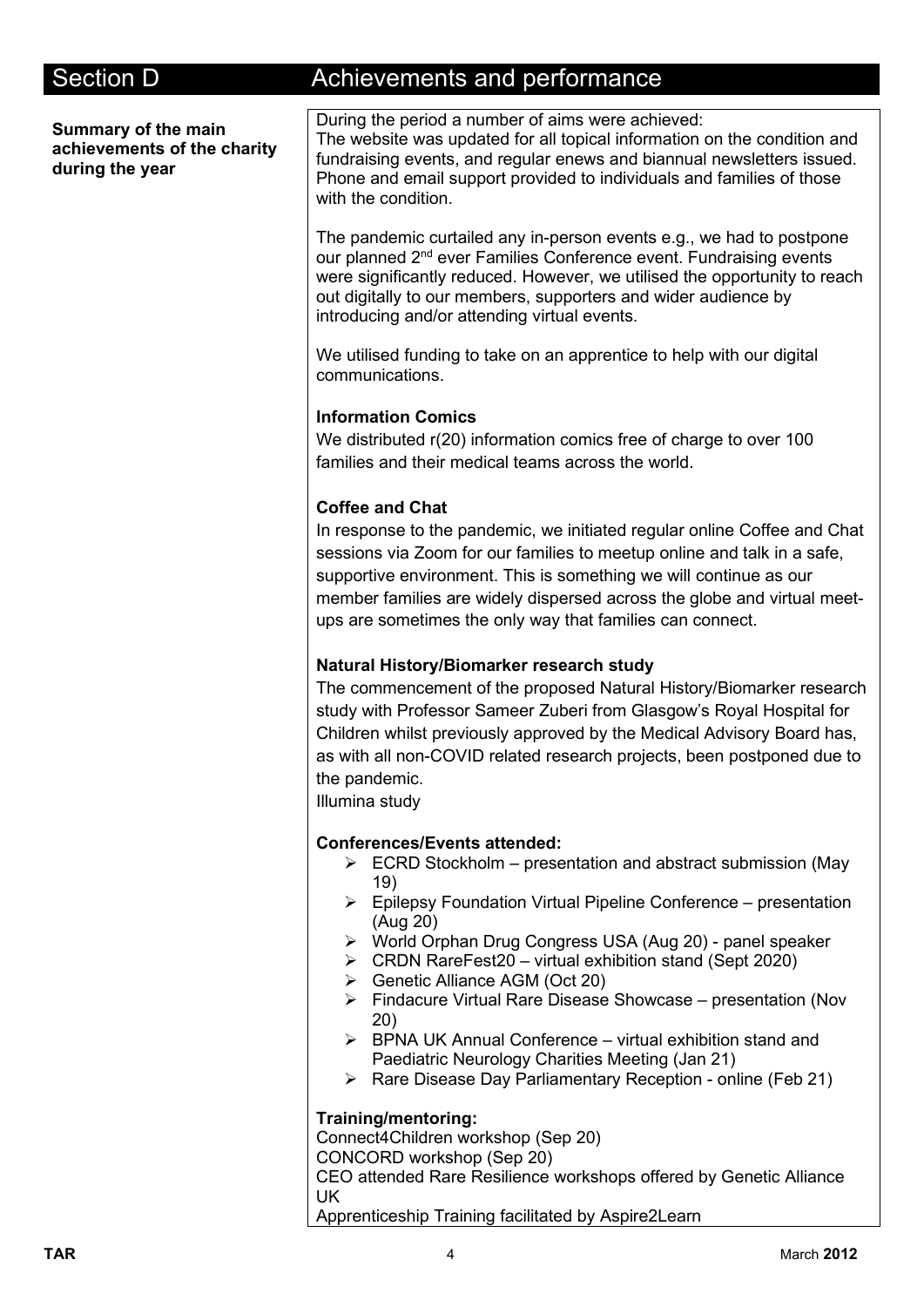**Summary of the main achievements of the charity during the year**

# Section D **Achievements and performance**

During the period a number of aims were achieved: The website was updated for all topical information on the condition and fundraising events, and regular enews and biannual newsletters issued. Phone and email support provided to individuals and families of those with the condition.

The pandemic curtailed any in-person events e.g., we had to postpone our planned 2<sup>nd</sup> ever Families Conference event. Fundraising events were significantly reduced. However, we utilised the opportunity to reach out digitally to our members, supporters and wider audience by introducing and/or attending virtual events.

We utilised funding to take on an apprentice to help with our digital communications.

### **Information Comics**

We distributed r(20) information comics free of charge to over 100 families and their medical teams across the world.

### **Coffee and Chat**

In response to the pandemic, we initiated regular online Coffee and Chat sessions via Zoom for our families to meetup online and talk in a safe, supportive environment. This is something we will continue as our member families are widely dispersed across the globe and virtual meetups are sometimes the only way that families can connect.

### **Natural History/Biomarker research study**

The commencement of the proposed Natural History/Biomarker research study with Professor Sameer Zuberi from Glasgow's Royal Hospital for Children whilst previously approved by the Medical Advisory Board has, as with all non-COVID related research projects, been postponed due to the pandemic.

Illumina study

#### **Conferences/Events attended:**

- $\triangleright$  ECRD Stockholm presentation and abstract submission (May 19)
- $\triangleright$  Epilepsy Foundation Virtual Pipeline Conference presentation (Aug 20)
- World Orphan Drug Congress USA (Aug 20) panel speaker
- $\triangleright$  CRDN RareFest20 virtual exhibition stand (Sept 2020)
- Genetic Alliance AGM (Oct 20)
- $\triangleright$  Findacure Virtual Rare Disease Showcase presentation (Nov 20)
- $\triangleright$  BPNA UK Annual Conference virtual exhibition stand and Paediatric Neurology Charities Meeting (Jan 21)
- $\triangleright$  Rare Disease Day Parliamentary Reception online (Feb 21)

#### **Training/mentoring:**

Connect4Children workshop (Sep 20)

CONCORD workshop (Sep 20)

CEO attended Rare Resilience workshops offered by Genetic Alliance UK

Apprenticeship Training facilitated by Aspire2Learn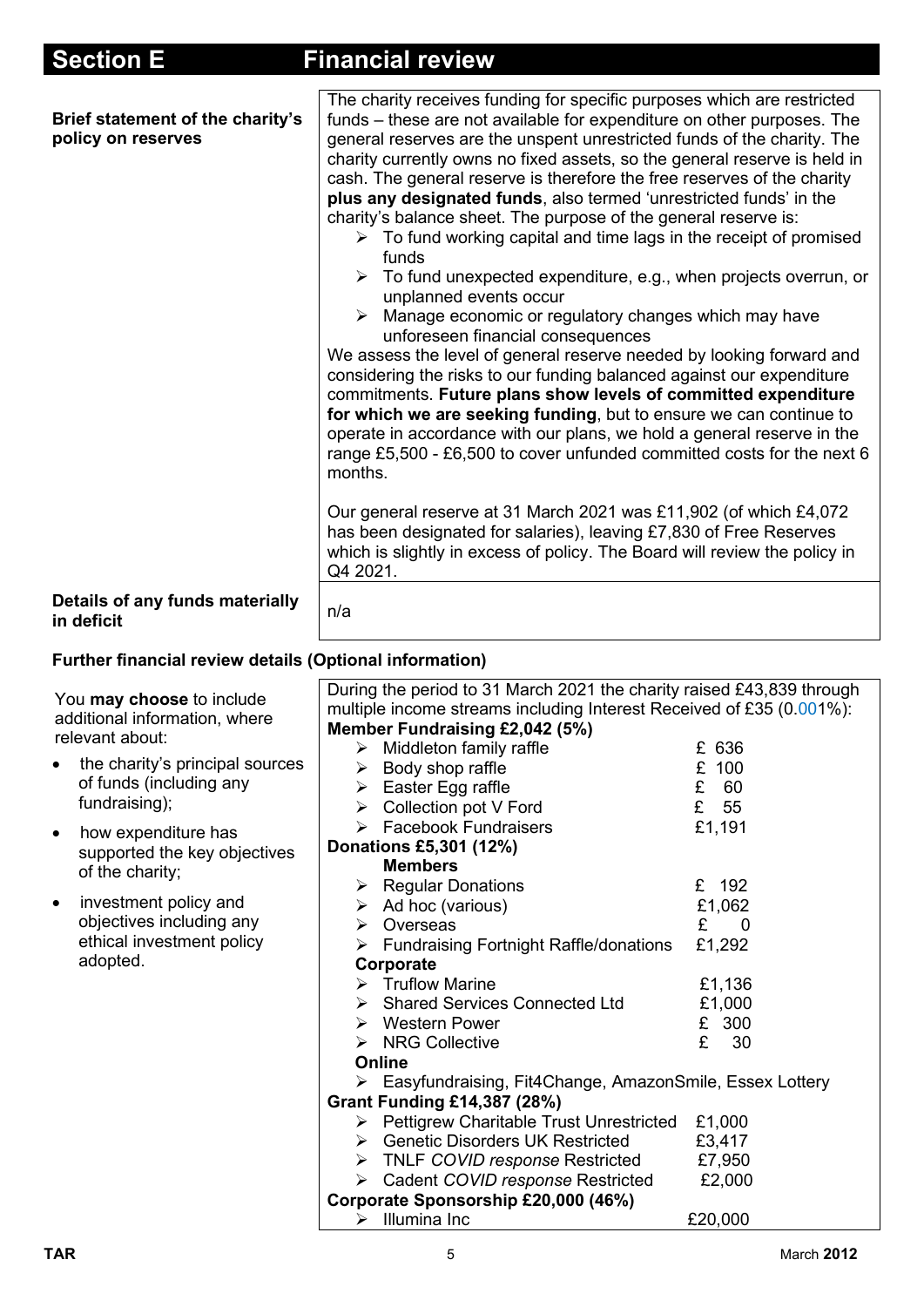| The charity receives funding for specific purposes which are restricted<br>funds – these are not available for expenditure on other purposes. The<br>general reserves are the unspent unrestricted funds of the charity. The<br>charity currently owns no fixed assets, so the general reserve is held in<br>cash. The general reserve is therefore the free reserves of the charity<br>plus any designated funds, also termed 'unrestricted funds' in the<br>charity's balance sheet. The purpose of the general reserve is:<br>$\triangleright$ To fund working capital and time lags in the receipt of promised<br>funds<br>To fund unexpected expenditure, e.g., when projects overrun, or<br>unplanned events occur<br>Manage economic or regulatory changes which may have<br>➤<br>unforeseen financial consequences<br>We assess the level of general reserve needed by looking forward and<br>considering the risks to our funding balanced against our expenditure<br>commitments. Future plans show levels of committed expenditure<br>for which we are seeking funding, but to ensure we can continue to<br>operate in accordance with our plans, we hold a general reserve in the<br>range £5,500 - £6,500 to cover unfunded committed costs for the next 6<br>months. |                                                                                                                                                                                  |  |  |
|------------------------------------------------------------------------------------------------------------------------------------------------------------------------------------------------------------------------------------------------------------------------------------------------------------------------------------------------------------------------------------------------------------------------------------------------------------------------------------------------------------------------------------------------------------------------------------------------------------------------------------------------------------------------------------------------------------------------------------------------------------------------------------------------------------------------------------------------------------------------------------------------------------------------------------------------------------------------------------------------------------------------------------------------------------------------------------------------------------------------------------------------------------------------------------------------------------------------------------------------------------------------------------|----------------------------------------------------------------------------------------------------------------------------------------------------------------------------------|--|--|
| Our general reserve at 31 March 2021 was £11,902 (of which £4,072<br>has been designated for salaries), leaving £7,830 of Free Reserves<br>which is slightly in excess of policy. The Board will review the policy in<br>Q4 2021.                                                                                                                                                                                                                                                                                                                                                                                                                                                                                                                                                                                                                                                                                                                                                                                                                                                                                                                                                                                                                                                  |                                                                                                                                                                                  |  |  |
| n/a                                                                                                                                                                                                                                                                                                                                                                                                                                                                                                                                                                                                                                                                                                                                                                                                                                                                                                                                                                                                                                                                                                                                                                                                                                                                                |                                                                                                                                                                                  |  |  |
|                                                                                                                                                                                                                                                                                                                                                                                                                                                                                                                                                                                                                                                                                                                                                                                                                                                                                                                                                                                                                                                                                                                                                                                                                                                                                    |                                                                                                                                                                                  |  |  |
| During the period to 31 March 2021 the charity raised £43,839 through<br>multiple income streams including Interest Received of £35 (0.001%):<br>Member Fundraising £2,042 (5%)<br>➤<br>Middleton family raffle<br>Body shop raffle<br>➤<br>Easter Egg raffle<br>≻<br>Collection pot V Ford<br>➤<br><b>Facebook Fundraisers</b><br>➤<br>Donations £5,301 (12%)<br><b>Members</b><br><b>Regular Donations</b><br>➤<br>Ad hoc (various)<br>➤<br>Overseas<br>➤<br><b>Fundraising Fortnight Raffle/donations</b><br>≻<br>Corporate<br>$\triangleright$ Truflow Marine<br><b>Shared Services Connected Ltd</b><br>$\triangleright$ Western Power<br><b>NRG Collective</b><br>➤<br>Online<br>▶ Easyfundraising, Fit4Change, AmazonSmile, Essex Lottery<br><b>Grant Funding £14,387 (28%)</b><br><b>Pettigrew Charitable Trust Unrestricted</b><br>≻<br>> Genetic Disorders UK Restricted<br>> TNLF COVID response Restricted<br>> Cadent COVID response Restricted<br>Corporate Sponsorship £20,000 (46%)                                                                                                                                                                                                                                                                                | £ 636<br>£ 100<br>E<br>60<br>£<br>55<br>£1,191<br>£ 192<br>£1,062<br>£<br>0<br>£1,292<br>£1,136<br>£1,000<br>£ 300<br>£<br>30<br>£1,000<br>£3,417<br>£7,950<br>£2,000<br>£20,000 |  |  |
|                                                                                                                                                                                                                                                                                                                                                                                                                                                                                                                                                                                                                                                                                                                                                                                                                                                                                                                                                                                                                                                                                                                                                                                                                                                                                    | Further financial review details (Optional information)<br>$\triangleright$ Illumina Inc                                                                                         |  |  |